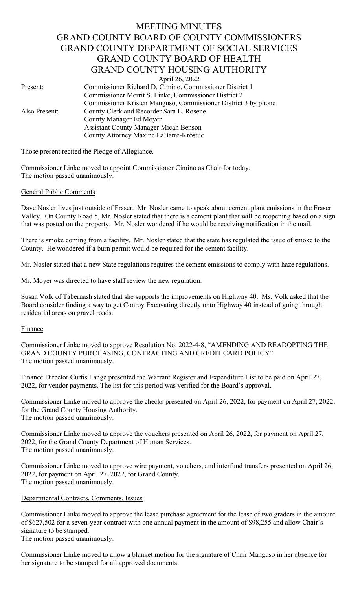# MEETING MINUTES GRAND COUNTY BOARD OF COUNTY COMMISSIONERS GRAND COUNTY DEPARTMENT OF SOCIAL SERVICES GRAND COUNTY BOARD OF HEALTH GRAND COUNTY HOUSING AUTHORITY

April 26, 2022

Present: Commissioner Richard D. Cimino, Commissioner District 1 Commissioner Merrit S. Linke, Commissioner District 2 Commissioner Kristen Manguso, Commissioner District 3 by phone Also Present: County Clerk and Recorder Sara L. Rosene County Manager Ed Moyer Assistant County Manager Micah Benson County Attorney Maxine LaBarre-Krostue

Those present recited the Pledge of Allegiance.

Commissioner Linke moved to appoint Commissioner Cimino as Chair for today. The motion passed unanimously.

### General Public Comments

Dave Nosler lives just outside of Fraser. Mr. Nosler came to speak about cement plant emissions in the Fraser Valley. On County Road 5, Mr. Nosler stated that there is a cement plant that will be reopening based on a sign that was posted on the property. Mr. Nosler wondered if he would be receiving notification in the mail.

There is smoke coming from a facility. Mr. Nosler stated that the state has regulated the issue of smoke to the County. He wondered if a burn permit would be required for the cement facility.

Mr. Nosler stated that a new State regulations requires the cement emissions to comply with haze regulations.

Mr. Moyer was directed to have staff review the new regulation.

Susan Volk of Tabernash stated that she supports the improvements on Highway 40. Ms. Volk asked that the Board consider finding a way to get Conroy Excavating directly onto Highway 40 instead of going through residential areas on gravel roads.

### **Finance**

Commissioner Linke moved to approve Resolution No. 2022-4-8, "AMENDING AND READOPTING THE GRAND COUNTY PURCHASING, CONTRACTING AND CREDIT CARD POLICY" The motion passed unanimously.

Finance Director Curtis Lange presented the Warrant Register and Expenditure List to be paid on April 27, 2022, for vendor payments. The list for this period was verified for the Board's approval.

Commissioner Linke moved to approve the checks presented on April 26, 2022, for payment on April 27, 2022, for the Grand County Housing Authority. The motion passed unanimously.

Commissioner Linke moved to approve the vouchers presented on April 26, 2022, for payment on April 27, 2022, for the Grand County Department of Human Services. The motion passed unanimously.

Commissioner Linke moved to approve wire payment, vouchers, and interfund transfers presented on April 26, 2022, for payment on April 27, 2022, for Grand County. The motion passed unanimously.

# Departmental Contracts, Comments, Issues

Commissioner Linke moved to approve the lease purchase agreement for the lease of two graders in the amount of \$627,502 for a seven-year contract with one annual payment in the amount of \$98,255 and allow Chair's signature to be stamped.

The motion passed unanimously.

Commissioner Linke moved to allow a blanket motion for the signature of Chair Manguso in her absence for her signature to be stamped for all approved documents.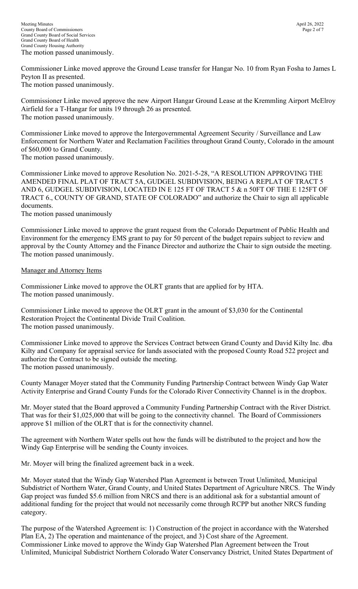Meeting Minutes April 26, 2022 County Board of Commissioners Page 2 of 7 Grand County Board of Social Services Grand County Board of Health Grand County Housing Authority The motion passed unanimously.

Commissioner Linke moved approve the Ground Lease transfer for Hangar No. 10 from Ryan Fosha to James L Peyton II as presented. The motion passed unanimously.

Commissioner Linke moved approve the new Airport Hangar Ground Lease at the Kremmling Airport McElroy Airfield for a T-Hangar for units 19 through 26 as presented. The motion passed unanimously.

Commissioner Linke moved to approve the Intergovernmental Agreement Security / Surveillance and Law Enforcement for Northern Water and Reclamation Facilities throughout Grand County, Colorado in the amount of \$60,000 to Grand County.

The motion passed unanimously.

Commissioner Linke moved to approve Resolution No. 2021-5-28, "A RESOLUTION APPROVING THE AMENDED FINAL PLAT OF TRACT 5A, GUDGEL SUBDIVISION, BEING A REPLAT OF TRACT 5 AND 6, GUDGEL SUBDIVISION, LOCATED IN E 125 FT OF TRACT 5 & n 50FT OF THE E 125FT OF TRACT 6., COUNTY OF GRAND, STATE OF COLORADO" and authorize the Chair to sign all applicable documents.

The motion passed unanimously

Commissioner Linke moved to approve the grant request from the Colorado Department of Public Health and Environment for the emergency EMS grant to pay for 50 percent of the budget repairs subject to review and approval by the County Attorney and the Finance Director and authorize the Chair to sign outside the meeting. The motion passed unanimously.

# Manager and Attorney Items

Commissioner Linke moved to approve the OLRT grants that are applied for by HTA. The motion passed unanimously.

Commissioner Linke moved to approve the OLRT grant in the amount of \$3,030 for the Continental Restoration Project the Continental Divide Trail Coalition. The motion passed unanimously.

Commissioner Linke moved to approve the Services Contract between Grand County and David Kilty Inc. dba Kilty and Company for appraisal service for lands associated with the proposed County Road 522 project and authorize the Contract to be signed outside the meeting. The motion passed unanimously.

County Manager Moyer stated that the Community Funding Partnership Contract between Windy Gap Water Activity Enterprise and Grand County Funds for the Colorado River Connectivity Channel is in the dropbox.

Mr. Moyer stated that the Board approved a Community Funding Partnership Contract with the River District. That was for their \$1,025,000 that will be going to the connectivity channel. The Board of Commissioners approve \$1 million of the OLRT that is for the connectivity channel.

The agreement with Northern Water spells out how the funds will be distributed to the project and how the Windy Gap Enterprise will be sending the County invoices.

Mr. Moyer will bring the finalized agreement back in a week.

Mr. Moyer stated that the Windy Gap Watershed Plan Agreement is between Trout Unlimited, Municipal Subdistrict of Northern Water, Grand County, and United States Department of Agriculture NRCS. The Windy Gap project was funded \$5.6 million from NRCS and there is an additional ask for a substantial amount of additional funding for the project that would not necessarily come through RCPP but another NRCS funding category.

The purpose of the Watershed Agreement is: 1) Construction of the project in accordance with the Watershed Plan EA, 2) The operation and maintenance of the project, and 3) Cost share of the Agreement. Commissioner Linke moved to approve the Windy Gap Watershed Plan Agreement between the Trout Unlimited, Municipal Subdistrict Northern Colorado Water Conservancy District, United States Department of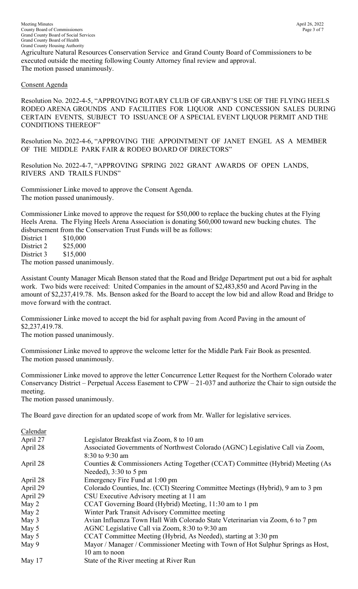Meeting Minutes April 26, 2022 County Board of Commissioners Page 3 of 7 Grand County Board of Social Services Grand County Board of Health Grand County Housing Authority Agriculture Natural Resources Conservation Service and Grand County Board of Commissioners to be executed outside the meeting following County Attorney final review and approval. The motion passed unanimously.

### Consent Agenda

Resolution No. 2022-4-5, "APPROVING ROTARY CLUB OF GRANBY'S USE OF THE FLYING HEELS RODEO ARENA GROUNDS AND FACILITIES FOR LIQUOR AND CONCESSION SALES DURING CERTAIN EVENTS, SUBJECT TO ISSUANCE OF A SPECIAL EVENT LIQUOR PERMIT AND THE CONDITIONS THEREOF"

Resolution No. 2022-4-6, "APPROVING THE APPOINTMENT OF JANET ENGEL AS A MEMBER OF THE MIDDLE PARK FAIR & RODEO BOARD OF DIRECTORS"

Resolution No. 2022-4-7, "APPROVING SPRING 2022 GRANT AWARDS OF OPEN LANDS, RIVERS AND TRAILS FUNDS"

Commissioner Linke moved to approve the Consent Agenda. The motion passed unanimously.

Commissioner Linke moved to approve the request for \$50,000 to replace the bucking chutes at the Flying Heels Arena. The Flying Heels Arena Association is donating \$60,000 toward new bucking chutes. The disbursement from the Conservation Trust Funds will be as follows:

District 1 \$10,000 District 2 \$25,000 District 3 \$15,000 The motion passed unanimously.

Assistant County Manager Micah Benson stated that the Road and Bridge Department put out a bid for asphalt work. Two bids were received: United Companies in the amount of \$2,483,850 and Acord Paving in the amount of \$2,237,419.78. Ms. Benson asked for the Board to accept the low bid and allow Road and Bridge to move forward with the contract.

Commissioner Linke moved to accept the bid for asphalt paving from Acord Paving in the amount of \$2,237,419.78.

The motion passed unanimously.

Commissioner Linke moved to approve the welcome letter for the Middle Park Fair Book as presented. The motion passed unanimously.

Commissioner Linke moved to approve the letter Concurrence Letter Request for the Northern Colorado water Conservancy District – Perpetual Access Easement to CPW – 21-037 and authorize the Chair to sign outside the meeting.

The motion passed unanimously.

The Board gave direction for an updated scope of work from Mr. Waller for legislative services.

| Legislator Breakfast via Zoom, 8 to 10 am                                        |
|----------------------------------------------------------------------------------|
| Associated Governments of Northwest Colorado (AGNC) Legislative Call via Zoom,   |
| 8:30 to 9:30 am                                                                  |
| Counties & Commissioners Acting Together (CCAT) Committee (Hybrid) Meeting (As   |
| Needed), $3:30$ to 5 pm                                                          |
| Emergency Fire Fund at 1:00 pm                                                   |
| Colorado Counties, Inc. (CCI) Steering Committee Meetings (Hybrid), 9 am to 3 pm |
| CSU Executive Advisory meeting at 11 am                                          |
| CCAT Governing Board (Hybrid) Meeting, 11:30 am to 1 pm                          |
| Winter Park Transit Advisory Committee meeting                                   |
| Avian Influenza Town Hall With Colorado State Veterinarian via Zoom, 6 to 7 pm   |
| AGNC Legislative Call via Zoom, 8:30 to 9:30 am                                  |
| CCAT Committee Meeting (Hybrid, As Needed), starting at 3:30 pm                  |
| Mayor / Manager / Commissioner Meeting with Town of Hot Sulphur Springs as Host, |
| 10 am to noon                                                                    |
| State of the River meeting at River Run                                          |
|                                                                                  |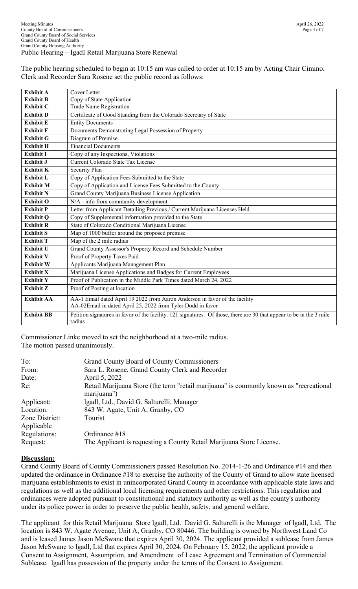The public hearing scheduled to begin at 10:15 am was called to order at 10:15 am by Acting Chair Cimino. Clerk and Recorder Sara Rosene set the public record as follows:

| <b>Exhibit A</b>  | Cover Letter                                                                                                                               |
|-------------------|--------------------------------------------------------------------------------------------------------------------------------------------|
| <b>Exhibit B</b>  | Copy of State Application                                                                                                                  |
| <b>Exhibit C</b>  | Trade Name Registration                                                                                                                    |
| <b>Exhibit D</b>  | Certificate of Good Standing from the Colorado Secretary of State                                                                          |
| <b>Exhibit E</b>  | <b>Entity Documents</b>                                                                                                                    |
| <b>Exhibit F</b>  | Documents Demonstrating Legal Possession of Property                                                                                       |
| <b>Exhibit G</b>  | Diagram of Premise                                                                                                                         |
| <b>Exhibit H</b>  | <b>Financial Documents</b>                                                                                                                 |
| <b>Exhibit I</b>  | Copy of any Inspections, Violations                                                                                                        |
| <b>Exhibit J</b>  | Current Colorado State Tax License                                                                                                         |
| <b>Exhibit K</b>  | Security Plan                                                                                                                              |
| <b>Exhibit L</b>  | Copy of Application Fees Submitted to the State                                                                                            |
| <b>Exhibit M</b>  | Copy of Application and License Fees Submitted to the County                                                                               |
| <b>Exhibit N</b>  | Grand County Marijuana Business License Application                                                                                        |
| <b>Exhibit O</b>  | N/A - info from community development                                                                                                      |
| <b>Exhibit P</b>  | Letter from Applicant Detailing Previous / Current Marijuana Licenses Held                                                                 |
| <b>Exhibit Q</b>  | Copy of Supplemental information provided to the State                                                                                     |
| <b>Exhibit R</b>  | State of Colorado Conditional Marijuana License                                                                                            |
| <b>Exhibit S</b>  | Map of 1000 buffer around the proposed premise                                                                                             |
| <b>Exhibit T</b>  | Map of the 2 mile radius                                                                                                                   |
| Exhibit U         | Grand County Assessor's Property Record and Schedule Number                                                                                |
| <b>Exhibit V</b>  | Proof of Property Taxes Paid                                                                                                               |
| <b>Exhibit W</b>  | Applicants Marijuana Management Plan                                                                                                       |
| <b>Exhibit X</b>  | Marijuana License Applications and Badges for Current Employees                                                                            |
| <b>Exhibit Y</b>  | Proof of Publication in the Middle Park Times dated March 24, 2022                                                                         |
| <b>Exhibit Z</b>  | Proof of Posting at location                                                                                                               |
| <b>Exhibit AA</b> | AA-1 Email dated April 19 2022 from Aaron Anderson in favor of the facility<br>AA-02Email in dated April 25, 2022 from Tyler Dodd in favor |
| <b>Exhibit BB</b> | Petition signatures in favor of the facility. 121 signatures. Of those, there are 30 that appear to be in the 3 mile<br>radius             |

Commissioner Linke moved to set the neighborhood at a two-mile radius. The motion passed unanimously.

| To:            | <b>Grand County Board of County Commissioners</b>                                                     |
|----------------|-------------------------------------------------------------------------------------------------------|
| From:          | Sara L. Rosene, Grand County Clerk and Recorder                                                       |
| Date:          | April 5, 2022                                                                                         |
| Re:            | Retail Marijuana Store (the term "retail marijuana" is commonly known as "recreational<br>marijuana") |
| Applicant:     | lgadl, Ltd., David G. Salturelli, Manager                                                             |
| Location:      | 843 W. Agate, Unit A, Granby, CO                                                                      |
| Zone District: | Tourist                                                                                               |
| Applicable     |                                                                                                       |
| Regulations:   | Ordinance #18                                                                                         |
| Request:       | The Applicant is requesting a County Retail Marijuana Store License.                                  |

### **Discussion:**

Grand County Board of County Commissioners passed Resolution No. 2014-1-26 and Ordinance #14 and then updated the ordinance in Ordinance #18 to exercise the authority of the County of Grand to allow state licensed marijuana establishments to exist in unincorporated Grand County in accordance with applicable state laws and regulations as well as the additional local licensing requirements and other restrictions. This regulation and ordinances were adopted pursuant to constitutional and statutory authority as well as the county's authority under its police power in order to preserve the public health, safety, and general welfare.

The applicant for this Retail Marijuana Store lgadl, Ltd. David G. Salturelli is the Manager of lgadl, Ltd. The location is 843 W. Agate Avenue, Unit A, Granby, CO 80446. The building is owned by Northwest Land Co and is leased James Jason McSwane that expires April 30, 2024. The applicant provided a sublease from James Jason McSwane to lgadl, Ltd that expires April 30, 2024. On February 15, 2022, the applicant provide a Consent to Assignment, Assumption, and Amendment of Lease Agreement and Termination of Commercial Sublease. lgadl has possession of the property under the terms of the Consent to Assignment.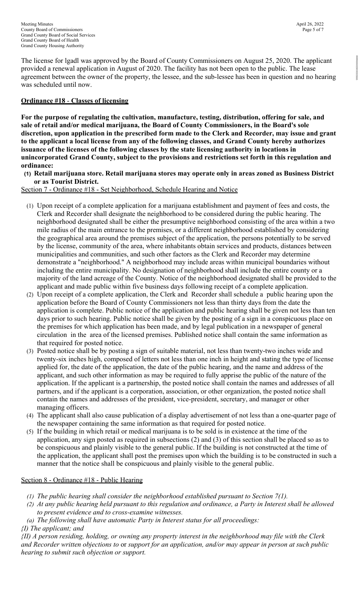The license for lgadl was approved by the Board of County Commissioners on August 25, 2020. The applicant provided a renewal application in August of 2020. The facility has not been open to the public. The lease agreement between the owner of the property, the lessee, and the sub-lessee has been in question and no hearing was scheduled until now.

# **Ordinance #18** - **Classes of licensing**

**For the purpose of regulating the cultivation, manufacture, testing, distribution, offering for sale, and sale of retail and/or medical marijuana, the Board of County Commissioners, in the Board's sole discretion, upon application in the prescribed form made to the Clerk and Recorder, may issue and grant to the applicant a local license from any of the following classes, and Grand County hereby authorizes issuance of the licenses of the following classes by the state licensing authority in locations in unincorporated Grand County, subject to the provisions and restrictions set forth in this regulation and ordinance:** 

**(1) Retail marijuana store. Retail marijuana stores may operate only in areas zoned as Business District or as Tourist District.** 

Section 7 - Ordinance #18 - Set Neighborhood, Schedule Hearing and Notice

- (1) Upon receipt of a complete application for a marijuana establishment and payment of fees and costs, the Clerk and Recorder shall designate the neighborhood to be considered during the public hearing. The neighborhood designated shall be either the presumptive neighborhood consisting of the area within a two mile radius of the main entrance to the premises, or a different neighborhood established by considering the geographical area around the premises subject of the application, the persons potentially to be served by the license, community of the area, where inhabitants obtain services and products, distances between municipalities and communities, and such other factors as the Clerk and Recorder may determine demonstrate a "neighborhood." A neighborhood may include areas within municipal boundaries without including the entire municipality. No designation of neighborhood shall include the entire county or a majority of the land acreage of the County. Notice of the neighborhood designated shall be provided to the applicant and made public within five business days following receipt of a complete application.
- (2) Upon receipt of a complete application, the Clerk and Recorder shall schedule a public hearing upon the application before the Board of County Commissioners not less than thirty days from the date the application is complete. Public notice of the application and public hearing shall be given not less than ten days prior to such hearing. Public notice shall be given by the posting of a sign in a conspicuous place on the premises for which application has been made, and by legal publication in a newspaper of general circulation in the area of the licensed premises. Published notice shall contain the same information as that required for posted notice.
- (3) Posted notice shall be by posting a sign of suitable material, not less than twenty-two inches wide and twenty-six inches high, composed of letters not less than one inch in height and stating the type of license applied for, the date of the application, the date of the public hearing, and the name and address of the applicant, and such other information as may be required to fully apprise the public of the nature of the application. If the applicant is a partnership, the posted notice shall contain the names and addresses of all partners, and if the applicant is a corporation, association, or other organization, the posted notice shall contain the names and addresses of the president, vice-president, secretary, and manager or other managing officers.
- (4) The applicant shall also cause publication of a display advertisement of not less than a one-quarter page of the newspaper containing the same information as that required for posted notice.
- (5) If the building in which retail or medical marijuana is to be sold is in existence at the time of the application, any sign posted as required in subsections (2) and (3) of this section shall be placed so as to be conspicuous and plainly visible to the general public. If the building is not constructed at the time of the application, the applicant shall post the premises upon which the building is to be constructed in such a manner that the notice shall be conspicuous and plainly visible to the general public.

### Section 8 - Ordinance #18 - Public Hearing

- *(1) The public hearing shall consider the neighborhood established pursuant to Section 7(1).*
- *(2) At any public hearing held pursuant to this regulation and ordinance, a Party in Interest shall be allowed to present evidence and to cross-examine witnesses.*
- *(a) The following shall have automatic Party in Interest status for all proceedings:*

### *{I) The applicant; and*

*{II) A person residing, holding, or owning any property interest in the neighborhood may file with the Clerk and Recorder written objections to* or *support for an application, and/or may appear in person at such public hearing to submit such objection or support.*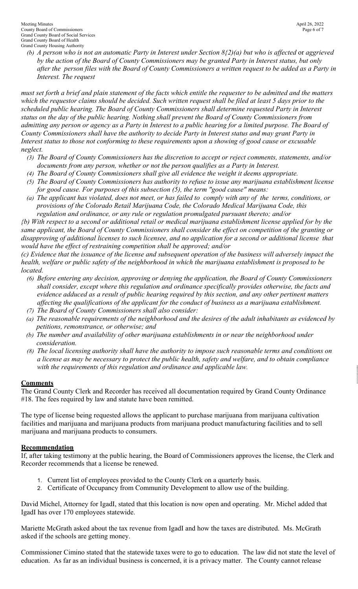Meeting Minutes April 26, 2022 County Board of Commissioners Page 6 of 7 Grand County Board of Social Services Grand County Board of Health Grand County Housing Authority

*(b) A person who is not an automatic Party in Interest under Section 8{2)(a) but who is affected* or *aggrieved by the action of the Board of County Commissioners may be granted Party in Interest status, but only after the person files with the Board of County Commissioners a written request to be added as a Party in Interest. The request* 

*must set forth a brief and plain statement of the facts which entitle the requester to be admitted and the matters which the requestor claims should be decided. Such written request shall be filed at least 5 days prior to the scheduled public hearing. The Board of County Commissioners shall determine requested Party in Interest status on the day of the public hearing. Nothing shall prevent the Board of County Commissioners from admitting any person or agency as a Party in Interest to a public hearing for a limited purpose. The Board of County Commissioners shall have the authority to decide Party in Interest status and may grant Party in Interest status to those not conforming to these requirements upon a showing of good cause or excusable neglect.* 

- *(3) The Board of County Commissioners has the discretion to accept or reject comments, statements, and/or documents from any person, whether or not the person qualifies as a Party in Interest.*
- *(4) The Board of County Commissioners shall give all evidence the weight it deems appropriate.*
- *(5) The Board of County Commissioners has authority to refuse to issue any marijuana establishment license for good cause. For purposes of this subsection (5), the term "good cause" means:*
- *(a) The applicant has violated, does not meet, or has failed to comply with any of the terms, conditions, or provisions of the Colorado Retail Marijuana Code, the Colorado Medical Marijuana Code, this regulation and ordinance, or any rule or regulation promulgated pursuant thereto; and/or*

*{b) With respect to a second or additional retail or medical marijuana establishment license applied for by the same applicant, the Board of County Commissioners shall consider the effect on competition of the granting or disapproving of additional licenses to such licensee, and no application for a second or additional license that would have the effect of restraining competition shall be approved; and/or* 

*(c) Evidence that the issuance of the license and subsequent operation of the business will adversely impact the health, welfare or public safety of the neighborhood in which the marijuana establishment is proposed to be located.* 

- *(6) Before entering any decision, approving or denying the application, the Board of County Commissioners shall consider, except where this regulation and ordinance specifically provides otherwise, the facts and evidence adduced as a result of public hearing required by this section, and any other pertinent matters affecting the qualifications of the applicant for the conduct of business as a marijuana establishment.*
- *(7) The Board of County Commissioners shall also consider:*
- *(a) The reasonable requirements of the neighborhood and the desires of the adult inhabitants as evidenced by petitions, remonstrance, or otherwise; and*
- *(b) The number and availability of other marijuana establishments in or near the neighborhood under consideration.*
- *(8) The local licensing authority shall have the authority to impose such reasonable terms and conditions on a license as may be necessary to protect the public health, safety and welfare, and to obtain compliance with the requirements of this regulation and ordinance and applicable law.*

# **Comments**

The Grand County Clerk and Recorder has received all documentation required by Grand County Ordinance #18. The fees required by law and statute have been remitted.

The type of license being requested allows the applicant to purchase marijuana from marijuana cultivation facilities and marijuana and marijuana products from marijuana product manufacturing facilities and to sell marijuana and marijuana products to consumers.

# **Recommendation**

If, after taking testimony at the public hearing, the Board of Commissioners approves the license, the Clerk and Recorder recommends that a license be renewed.

- 1. Current list of employees provided to the County Clerk on a quarterly basis.
- 2. Certificate of Occupancy from Community Development to allow use of the building.

David Michel, Attorney for IgadI, stated that this location is now open and operating. Mr. Michel added that IgadI has over 170 employees statewide.

Mariette McGrath asked about the tax revenue from IgadI and how the taxes are distributed. Ms. McGrath asked if the schools are getting money.

Commissioner Cimino stated that the statewide taxes were to go to education. The law did not state the level of education. As far as an individual business is concerned, it is a privacy matter. The County cannot release